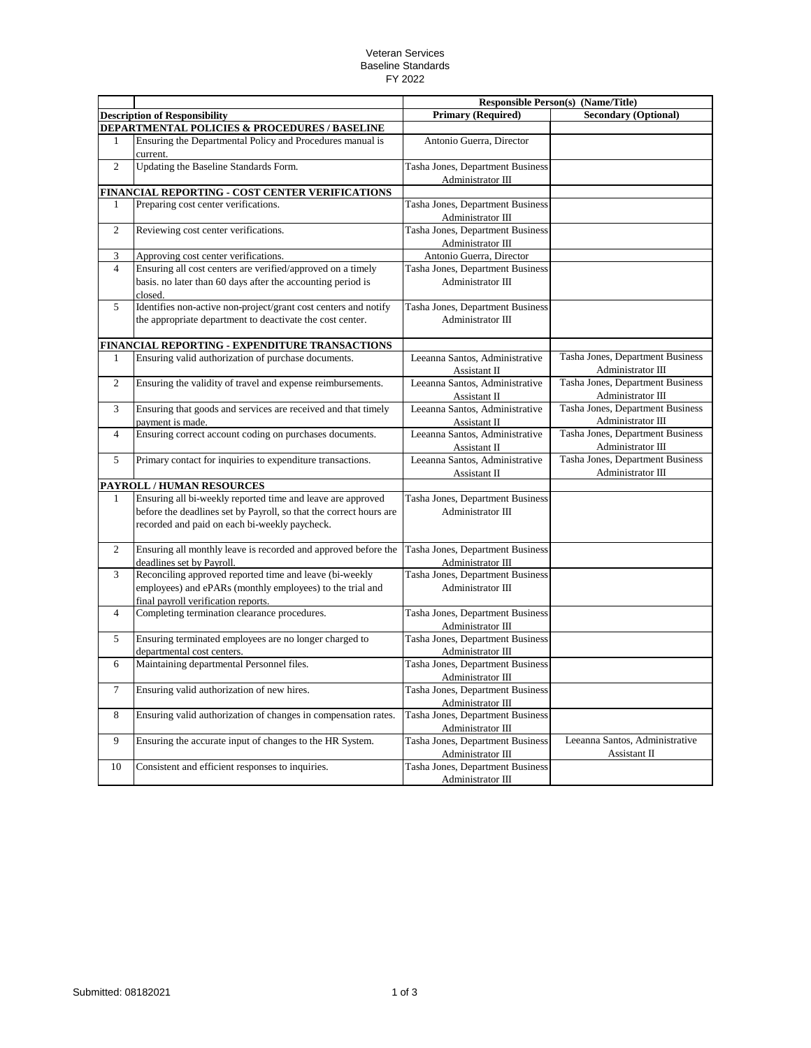## Veteran Services Baseline Standards FY 2022

| <b>Primary (Required)</b><br><b>Description of Responsibility</b><br>DEPARTMENTAL POLICIES & PROCEDURES / BASELINE<br>Ensuring the Departmental Policy and Procedures manual is<br>$\mathbf{1}$<br>Antonio Guerra, Director<br>current.<br>$\overline{2}$<br>Updating the Baseline Standards Form.<br>Tasha Jones, Department Business<br>Administrator III<br>FINANCIAL REPORTING - COST CENTER VERIFICATIONS<br>Preparing cost center verifications.<br>Tasha Jones, Department Business<br>1<br>Administrator III<br>2<br>Reviewing cost center verifications.<br>Tasha Jones, Department Business<br>Administrator III<br>Approving cost center verifications.<br>Antonio Guerra, Director<br>3<br>Ensuring all cost centers are verified/approved on a timely<br>$\overline{4}$<br>Tasha Jones, Department Business<br>basis. no later than 60 days after the accounting period is<br>Administrator III<br>closed.<br>5<br>Identifies non-active non-project/grant cost centers and notify<br>Tasha Jones, Department Business<br>the appropriate department to deactivate the cost center.<br>Administrator III<br>FINANCIAL REPORTING - EXPENDITURE TRANSACTIONS<br>Ensuring valid authorization of purchase documents.<br>Leeanna Santos, Administrative<br>1<br>Assistant II<br>$\overline{2}$<br>Leeanna Santos, Administrative<br>Ensuring the validity of travel and expense reimbursements.<br>Administrator III<br>Assistant II<br>Ensuring that goods and services are received and that timely<br>Leeanna Santos, Administrative<br>3<br>payment is made.<br>Assistant II<br>Ensuring correct account coding on purchases documents.<br>Leeanna Santos, Administrative<br>$\overline{4}$<br>Administrator III<br>Assistant II<br>Primary contact for inquiries to expenditure transactions.<br>Leeanna Santos, Administrative<br>5<br>Administrator III<br>Assistant II<br>PAYROLL / HUMAN RESOURCES<br>Ensuring all bi-weekly reported time and leave are approved<br>Tasha Jones, Department Business<br>$\mathbf{1}$<br>before the deadlines set by Payroll, so that the correct hours are<br>Administrator III<br>recorded and paid on each bi-weekly paycheck.<br>Ensuring all monthly leave is recorded and approved before the<br>2<br>Tasha Jones, Department Business<br>deadlines set by Payroll.<br>Administrator III<br>Reconciling approved reported time and leave (bi-weekly<br>3<br>Tasha Jones, Department Business<br>employees) and ePARs (monthly employees) to the trial and<br>Administrator III<br>final payroll verification reports.<br>Completing termination clearance procedures.<br>$\overline{4}$<br>Tasha Jones, Department Business<br>Administrator III<br>5<br>Ensuring terminated employees are no longer charged to<br>Tasha Jones, Department Business<br>departmental cost centers.<br>Administrator III<br>Maintaining departmental Personnel files.<br>Tasha Jones, Department Business<br>6<br>Administrator III<br>$\overline{7}$<br>Ensuring valid authorization of new hires.<br>Tasha Jones, Department Business<br>Administrator III<br>Ensuring valid authorization of changes in compensation rates.<br>8<br>Tasha Jones, Department Business<br>Administrator III<br>Tasha Jones, Department Business<br>9<br>Ensuring the accurate input of changes to the HR System. |  | <b>Responsible Person(s) (Name/Title)</b> |                                                       |
|-----------------------------------------------------------------------------------------------------------------------------------------------------------------------------------------------------------------------------------------------------------------------------------------------------------------------------------------------------------------------------------------------------------------------------------------------------------------------------------------------------------------------------------------------------------------------------------------------------------------------------------------------------------------------------------------------------------------------------------------------------------------------------------------------------------------------------------------------------------------------------------------------------------------------------------------------------------------------------------------------------------------------------------------------------------------------------------------------------------------------------------------------------------------------------------------------------------------------------------------------------------------------------------------------------------------------------------------------------------------------------------------------------------------------------------------------------------------------------------------------------------------------------------------------------------------------------------------------------------------------------------------------------------------------------------------------------------------------------------------------------------------------------------------------------------------------------------------------------------------------------------------------------------------------------------------------------------------------------------------------------------------------------------------------------------------------------------------------------------------------------------------------------------------------------------------------------------------------------------------------------------------------------------------------------------------------------------------------------------------------------------------------------------------------------------------------------------------------------------------------------------------------------------------------------------------------------------------------------------------------------------------------------------------------------------------------------------------------------------------------------------------------------------------------------------------------------------------------------------------------------------------------------------------------------------------------------------------------------------------------------------------------------------------------------------------------------------------------------------------------------------------------------------------------------------------------------------------------------------------------------------------------------------------------------------------------------------------|--|-------------------------------------------|-------------------------------------------------------|
|                                                                                                                                                                                                                                                                                                                                                                                                                                                                                                                                                                                                                                                                                                                                                                                                                                                                                                                                                                                                                                                                                                                                                                                                                                                                                                                                                                                                                                                                                                                                                                                                                                                                                                                                                                                                                                                                                                                                                                                                                                                                                                                                                                                                                                                                                                                                                                                                                                                                                                                                                                                                                                                                                                                                                                                                                                                                                                                                                                                                                                                                                                                                                                                                                                                                                                                                         |  |                                           | <b>Secondary (Optional)</b>                           |
|                                                                                                                                                                                                                                                                                                                                                                                                                                                                                                                                                                                                                                                                                                                                                                                                                                                                                                                                                                                                                                                                                                                                                                                                                                                                                                                                                                                                                                                                                                                                                                                                                                                                                                                                                                                                                                                                                                                                                                                                                                                                                                                                                                                                                                                                                                                                                                                                                                                                                                                                                                                                                                                                                                                                                                                                                                                                                                                                                                                                                                                                                                                                                                                                                                                                                                                                         |  |                                           |                                                       |
|                                                                                                                                                                                                                                                                                                                                                                                                                                                                                                                                                                                                                                                                                                                                                                                                                                                                                                                                                                                                                                                                                                                                                                                                                                                                                                                                                                                                                                                                                                                                                                                                                                                                                                                                                                                                                                                                                                                                                                                                                                                                                                                                                                                                                                                                                                                                                                                                                                                                                                                                                                                                                                                                                                                                                                                                                                                                                                                                                                                                                                                                                                                                                                                                                                                                                                                                         |  |                                           |                                                       |
|                                                                                                                                                                                                                                                                                                                                                                                                                                                                                                                                                                                                                                                                                                                                                                                                                                                                                                                                                                                                                                                                                                                                                                                                                                                                                                                                                                                                                                                                                                                                                                                                                                                                                                                                                                                                                                                                                                                                                                                                                                                                                                                                                                                                                                                                                                                                                                                                                                                                                                                                                                                                                                                                                                                                                                                                                                                                                                                                                                                                                                                                                                                                                                                                                                                                                                                                         |  |                                           |                                                       |
|                                                                                                                                                                                                                                                                                                                                                                                                                                                                                                                                                                                                                                                                                                                                                                                                                                                                                                                                                                                                                                                                                                                                                                                                                                                                                                                                                                                                                                                                                                                                                                                                                                                                                                                                                                                                                                                                                                                                                                                                                                                                                                                                                                                                                                                                                                                                                                                                                                                                                                                                                                                                                                                                                                                                                                                                                                                                                                                                                                                                                                                                                                                                                                                                                                                                                                                                         |  |                                           |                                                       |
|                                                                                                                                                                                                                                                                                                                                                                                                                                                                                                                                                                                                                                                                                                                                                                                                                                                                                                                                                                                                                                                                                                                                                                                                                                                                                                                                                                                                                                                                                                                                                                                                                                                                                                                                                                                                                                                                                                                                                                                                                                                                                                                                                                                                                                                                                                                                                                                                                                                                                                                                                                                                                                                                                                                                                                                                                                                                                                                                                                                                                                                                                                                                                                                                                                                                                                                                         |  |                                           |                                                       |
|                                                                                                                                                                                                                                                                                                                                                                                                                                                                                                                                                                                                                                                                                                                                                                                                                                                                                                                                                                                                                                                                                                                                                                                                                                                                                                                                                                                                                                                                                                                                                                                                                                                                                                                                                                                                                                                                                                                                                                                                                                                                                                                                                                                                                                                                                                                                                                                                                                                                                                                                                                                                                                                                                                                                                                                                                                                                                                                                                                                                                                                                                                                                                                                                                                                                                                                                         |  |                                           |                                                       |
|                                                                                                                                                                                                                                                                                                                                                                                                                                                                                                                                                                                                                                                                                                                                                                                                                                                                                                                                                                                                                                                                                                                                                                                                                                                                                                                                                                                                                                                                                                                                                                                                                                                                                                                                                                                                                                                                                                                                                                                                                                                                                                                                                                                                                                                                                                                                                                                                                                                                                                                                                                                                                                                                                                                                                                                                                                                                                                                                                                                                                                                                                                                                                                                                                                                                                                                                         |  |                                           |                                                       |
|                                                                                                                                                                                                                                                                                                                                                                                                                                                                                                                                                                                                                                                                                                                                                                                                                                                                                                                                                                                                                                                                                                                                                                                                                                                                                                                                                                                                                                                                                                                                                                                                                                                                                                                                                                                                                                                                                                                                                                                                                                                                                                                                                                                                                                                                                                                                                                                                                                                                                                                                                                                                                                                                                                                                                                                                                                                                                                                                                                                                                                                                                                                                                                                                                                                                                                                                         |  |                                           |                                                       |
|                                                                                                                                                                                                                                                                                                                                                                                                                                                                                                                                                                                                                                                                                                                                                                                                                                                                                                                                                                                                                                                                                                                                                                                                                                                                                                                                                                                                                                                                                                                                                                                                                                                                                                                                                                                                                                                                                                                                                                                                                                                                                                                                                                                                                                                                                                                                                                                                                                                                                                                                                                                                                                                                                                                                                                                                                                                                                                                                                                                                                                                                                                                                                                                                                                                                                                                                         |  |                                           |                                                       |
|                                                                                                                                                                                                                                                                                                                                                                                                                                                                                                                                                                                                                                                                                                                                                                                                                                                                                                                                                                                                                                                                                                                                                                                                                                                                                                                                                                                                                                                                                                                                                                                                                                                                                                                                                                                                                                                                                                                                                                                                                                                                                                                                                                                                                                                                                                                                                                                                                                                                                                                                                                                                                                                                                                                                                                                                                                                                                                                                                                                                                                                                                                                                                                                                                                                                                                                                         |  |                                           |                                                       |
|                                                                                                                                                                                                                                                                                                                                                                                                                                                                                                                                                                                                                                                                                                                                                                                                                                                                                                                                                                                                                                                                                                                                                                                                                                                                                                                                                                                                                                                                                                                                                                                                                                                                                                                                                                                                                                                                                                                                                                                                                                                                                                                                                                                                                                                                                                                                                                                                                                                                                                                                                                                                                                                                                                                                                                                                                                                                                                                                                                                                                                                                                                                                                                                                                                                                                                                                         |  |                                           |                                                       |
|                                                                                                                                                                                                                                                                                                                                                                                                                                                                                                                                                                                                                                                                                                                                                                                                                                                                                                                                                                                                                                                                                                                                                                                                                                                                                                                                                                                                                                                                                                                                                                                                                                                                                                                                                                                                                                                                                                                                                                                                                                                                                                                                                                                                                                                                                                                                                                                                                                                                                                                                                                                                                                                                                                                                                                                                                                                                                                                                                                                                                                                                                                                                                                                                                                                                                                                                         |  |                                           |                                                       |
|                                                                                                                                                                                                                                                                                                                                                                                                                                                                                                                                                                                                                                                                                                                                                                                                                                                                                                                                                                                                                                                                                                                                                                                                                                                                                                                                                                                                                                                                                                                                                                                                                                                                                                                                                                                                                                                                                                                                                                                                                                                                                                                                                                                                                                                                                                                                                                                                                                                                                                                                                                                                                                                                                                                                                                                                                                                                                                                                                                                                                                                                                                                                                                                                                                                                                                                                         |  |                                           |                                                       |
|                                                                                                                                                                                                                                                                                                                                                                                                                                                                                                                                                                                                                                                                                                                                                                                                                                                                                                                                                                                                                                                                                                                                                                                                                                                                                                                                                                                                                                                                                                                                                                                                                                                                                                                                                                                                                                                                                                                                                                                                                                                                                                                                                                                                                                                                                                                                                                                                                                                                                                                                                                                                                                                                                                                                                                                                                                                                                                                                                                                                                                                                                                                                                                                                                                                                                                                                         |  |                                           |                                                       |
|                                                                                                                                                                                                                                                                                                                                                                                                                                                                                                                                                                                                                                                                                                                                                                                                                                                                                                                                                                                                                                                                                                                                                                                                                                                                                                                                                                                                                                                                                                                                                                                                                                                                                                                                                                                                                                                                                                                                                                                                                                                                                                                                                                                                                                                                                                                                                                                                                                                                                                                                                                                                                                                                                                                                                                                                                                                                                                                                                                                                                                                                                                                                                                                                                                                                                                                                         |  |                                           | Tasha Jones, Department Business<br>Administrator III |
|                                                                                                                                                                                                                                                                                                                                                                                                                                                                                                                                                                                                                                                                                                                                                                                                                                                                                                                                                                                                                                                                                                                                                                                                                                                                                                                                                                                                                                                                                                                                                                                                                                                                                                                                                                                                                                                                                                                                                                                                                                                                                                                                                                                                                                                                                                                                                                                                                                                                                                                                                                                                                                                                                                                                                                                                                                                                                                                                                                                                                                                                                                                                                                                                                                                                                                                                         |  |                                           | Tasha Jones, Department Business                      |
|                                                                                                                                                                                                                                                                                                                                                                                                                                                                                                                                                                                                                                                                                                                                                                                                                                                                                                                                                                                                                                                                                                                                                                                                                                                                                                                                                                                                                                                                                                                                                                                                                                                                                                                                                                                                                                                                                                                                                                                                                                                                                                                                                                                                                                                                                                                                                                                                                                                                                                                                                                                                                                                                                                                                                                                                                                                                                                                                                                                                                                                                                                                                                                                                                                                                                                                                         |  |                                           |                                                       |
|                                                                                                                                                                                                                                                                                                                                                                                                                                                                                                                                                                                                                                                                                                                                                                                                                                                                                                                                                                                                                                                                                                                                                                                                                                                                                                                                                                                                                                                                                                                                                                                                                                                                                                                                                                                                                                                                                                                                                                                                                                                                                                                                                                                                                                                                                                                                                                                                                                                                                                                                                                                                                                                                                                                                                                                                                                                                                                                                                                                                                                                                                                                                                                                                                                                                                                                                         |  |                                           | Tasha Jones, Department Business                      |
|                                                                                                                                                                                                                                                                                                                                                                                                                                                                                                                                                                                                                                                                                                                                                                                                                                                                                                                                                                                                                                                                                                                                                                                                                                                                                                                                                                                                                                                                                                                                                                                                                                                                                                                                                                                                                                                                                                                                                                                                                                                                                                                                                                                                                                                                                                                                                                                                                                                                                                                                                                                                                                                                                                                                                                                                                                                                                                                                                                                                                                                                                                                                                                                                                                                                                                                                         |  |                                           | Administrator III                                     |
|                                                                                                                                                                                                                                                                                                                                                                                                                                                                                                                                                                                                                                                                                                                                                                                                                                                                                                                                                                                                                                                                                                                                                                                                                                                                                                                                                                                                                                                                                                                                                                                                                                                                                                                                                                                                                                                                                                                                                                                                                                                                                                                                                                                                                                                                                                                                                                                                                                                                                                                                                                                                                                                                                                                                                                                                                                                                                                                                                                                                                                                                                                                                                                                                                                                                                                                                         |  |                                           | Tasha Jones, Department Business                      |
|                                                                                                                                                                                                                                                                                                                                                                                                                                                                                                                                                                                                                                                                                                                                                                                                                                                                                                                                                                                                                                                                                                                                                                                                                                                                                                                                                                                                                                                                                                                                                                                                                                                                                                                                                                                                                                                                                                                                                                                                                                                                                                                                                                                                                                                                                                                                                                                                                                                                                                                                                                                                                                                                                                                                                                                                                                                                                                                                                                                                                                                                                                                                                                                                                                                                                                                                         |  |                                           | Tasha Jones, Department Business                      |
|                                                                                                                                                                                                                                                                                                                                                                                                                                                                                                                                                                                                                                                                                                                                                                                                                                                                                                                                                                                                                                                                                                                                                                                                                                                                                                                                                                                                                                                                                                                                                                                                                                                                                                                                                                                                                                                                                                                                                                                                                                                                                                                                                                                                                                                                                                                                                                                                                                                                                                                                                                                                                                                                                                                                                                                                                                                                                                                                                                                                                                                                                                                                                                                                                                                                                                                                         |  |                                           |                                                       |
|                                                                                                                                                                                                                                                                                                                                                                                                                                                                                                                                                                                                                                                                                                                                                                                                                                                                                                                                                                                                                                                                                                                                                                                                                                                                                                                                                                                                                                                                                                                                                                                                                                                                                                                                                                                                                                                                                                                                                                                                                                                                                                                                                                                                                                                                                                                                                                                                                                                                                                                                                                                                                                                                                                                                                                                                                                                                                                                                                                                                                                                                                                                                                                                                                                                                                                                                         |  |                                           |                                                       |
|                                                                                                                                                                                                                                                                                                                                                                                                                                                                                                                                                                                                                                                                                                                                                                                                                                                                                                                                                                                                                                                                                                                                                                                                                                                                                                                                                                                                                                                                                                                                                                                                                                                                                                                                                                                                                                                                                                                                                                                                                                                                                                                                                                                                                                                                                                                                                                                                                                                                                                                                                                                                                                                                                                                                                                                                                                                                                                                                                                                                                                                                                                                                                                                                                                                                                                                                         |  |                                           |                                                       |
|                                                                                                                                                                                                                                                                                                                                                                                                                                                                                                                                                                                                                                                                                                                                                                                                                                                                                                                                                                                                                                                                                                                                                                                                                                                                                                                                                                                                                                                                                                                                                                                                                                                                                                                                                                                                                                                                                                                                                                                                                                                                                                                                                                                                                                                                                                                                                                                                                                                                                                                                                                                                                                                                                                                                                                                                                                                                                                                                                                                                                                                                                                                                                                                                                                                                                                                                         |  |                                           |                                                       |
|                                                                                                                                                                                                                                                                                                                                                                                                                                                                                                                                                                                                                                                                                                                                                                                                                                                                                                                                                                                                                                                                                                                                                                                                                                                                                                                                                                                                                                                                                                                                                                                                                                                                                                                                                                                                                                                                                                                                                                                                                                                                                                                                                                                                                                                                                                                                                                                                                                                                                                                                                                                                                                                                                                                                                                                                                                                                                                                                                                                                                                                                                                                                                                                                                                                                                                                                         |  |                                           |                                                       |
|                                                                                                                                                                                                                                                                                                                                                                                                                                                                                                                                                                                                                                                                                                                                                                                                                                                                                                                                                                                                                                                                                                                                                                                                                                                                                                                                                                                                                                                                                                                                                                                                                                                                                                                                                                                                                                                                                                                                                                                                                                                                                                                                                                                                                                                                                                                                                                                                                                                                                                                                                                                                                                                                                                                                                                                                                                                                                                                                                                                                                                                                                                                                                                                                                                                                                                                                         |  |                                           |                                                       |
|                                                                                                                                                                                                                                                                                                                                                                                                                                                                                                                                                                                                                                                                                                                                                                                                                                                                                                                                                                                                                                                                                                                                                                                                                                                                                                                                                                                                                                                                                                                                                                                                                                                                                                                                                                                                                                                                                                                                                                                                                                                                                                                                                                                                                                                                                                                                                                                                                                                                                                                                                                                                                                                                                                                                                                                                                                                                                                                                                                                                                                                                                                                                                                                                                                                                                                                                         |  |                                           |                                                       |
|                                                                                                                                                                                                                                                                                                                                                                                                                                                                                                                                                                                                                                                                                                                                                                                                                                                                                                                                                                                                                                                                                                                                                                                                                                                                                                                                                                                                                                                                                                                                                                                                                                                                                                                                                                                                                                                                                                                                                                                                                                                                                                                                                                                                                                                                                                                                                                                                                                                                                                                                                                                                                                                                                                                                                                                                                                                                                                                                                                                                                                                                                                                                                                                                                                                                                                                                         |  |                                           |                                                       |
|                                                                                                                                                                                                                                                                                                                                                                                                                                                                                                                                                                                                                                                                                                                                                                                                                                                                                                                                                                                                                                                                                                                                                                                                                                                                                                                                                                                                                                                                                                                                                                                                                                                                                                                                                                                                                                                                                                                                                                                                                                                                                                                                                                                                                                                                                                                                                                                                                                                                                                                                                                                                                                                                                                                                                                                                                                                                                                                                                                                                                                                                                                                                                                                                                                                                                                                                         |  |                                           |                                                       |
|                                                                                                                                                                                                                                                                                                                                                                                                                                                                                                                                                                                                                                                                                                                                                                                                                                                                                                                                                                                                                                                                                                                                                                                                                                                                                                                                                                                                                                                                                                                                                                                                                                                                                                                                                                                                                                                                                                                                                                                                                                                                                                                                                                                                                                                                                                                                                                                                                                                                                                                                                                                                                                                                                                                                                                                                                                                                                                                                                                                                                                                                                                                                                                                                                                                                                                                                         |  |                                           |                                                       |
|                                                                                                                                                                                                                                                                                                                                                                                                                                                                                                                                                                                                                                                                                                                                                                                                                                                                                                                                                                                                                                                                                                                                                                                                                                                                                                                                                                                                                                                                                                                                                                                                                                                                                                                                                                                                                                                                                                                                                                                                                                                                                                                                                                                                                                                                                                                                                                                                                                                                                                                                                                                                                                                                                                                                                                                                                                                                                                                                                                                                                                                                                                                                                                                                                                                                                                                                         |  |                                           |                                                       |
|                                                                                                                                                                                                                                                                                                                                                                                                                                                                                                                                                                                                                                                                                                                                                                                                                                                                                                                                                                                                                                                                                                                                                                                                                                                                                                                                                                                                                                                                                                                                                                                                                                                                                                                                                                                                                                                                                                                                                                                                                                                                                                                                                                                                                                                                                                                                                                                                                                                                                                                                                                                                                                                                                                                                                                                                                                                                                                                                                                                                                                                                                                                                                                                                                                                                                                                                         |  |                                           |                                                       |
|                                                                                                                                                                                                                                                                                                                                                                                                                                                                                                                                                                                                                                                                                                                                                                                                                                                                                                                                                                                                                                                                                                                                                                                                                                                                                                                                                                                                                                                                                                                                                                                                                                                                                                                                                                                                                                                                                                                                                                                                                                                                                                                                                                                                                                                                                                                                                                                                                                                                                                                                                                                                                                                                                                                                                                                                                                                                                                                                                                                                                                                                                                                                                                                                                                                                                                                                         |  |                                           |                                                       |
| Assistant II<br>Administrator III                                                                                                                                                                                                                                                                                                                                                                                                                                                                                                                                                                                                                                                                                                                                                                                                                                                                                                                                                                                                                                                                                                                                                                                                                                                                                                                                                                                                                                                                                                                                                                                                                                                                                                                                                                                                                                                                                                                                                                                                                                                                                                                                                                                                                                                                                                                                                                                                                                                                                                                                                                                                                                                                                                                                                                                                                                                                                                                                                                                                                                                                                                                                                                                                                                                                                                       |  |                                           | Leeanna Santos, Administrative                        |
| Consistent and efficient responses to inquiries.<br>10<br>Tasha Jones, Department Business<br>Administrator III                                                                                                                                                                                                                                                                                                                                                                                                                                                                                                                                                                                                                                                                                                                                                                                                                                                                                                                                                                                                                                                                                                                                                                                                                                                                                                                                                                                                                                                                                                                                                                                                                                                                                                                                                                                                                                                                                                                                                                                                                                                                                                                                                                                                                                                                                                                                                                                                                                                                                                                                                                                                                                                                                                                                                                                                                                                                                                                                                                                                                                                                                                                                                                                                                         |  |                                           |                                                       |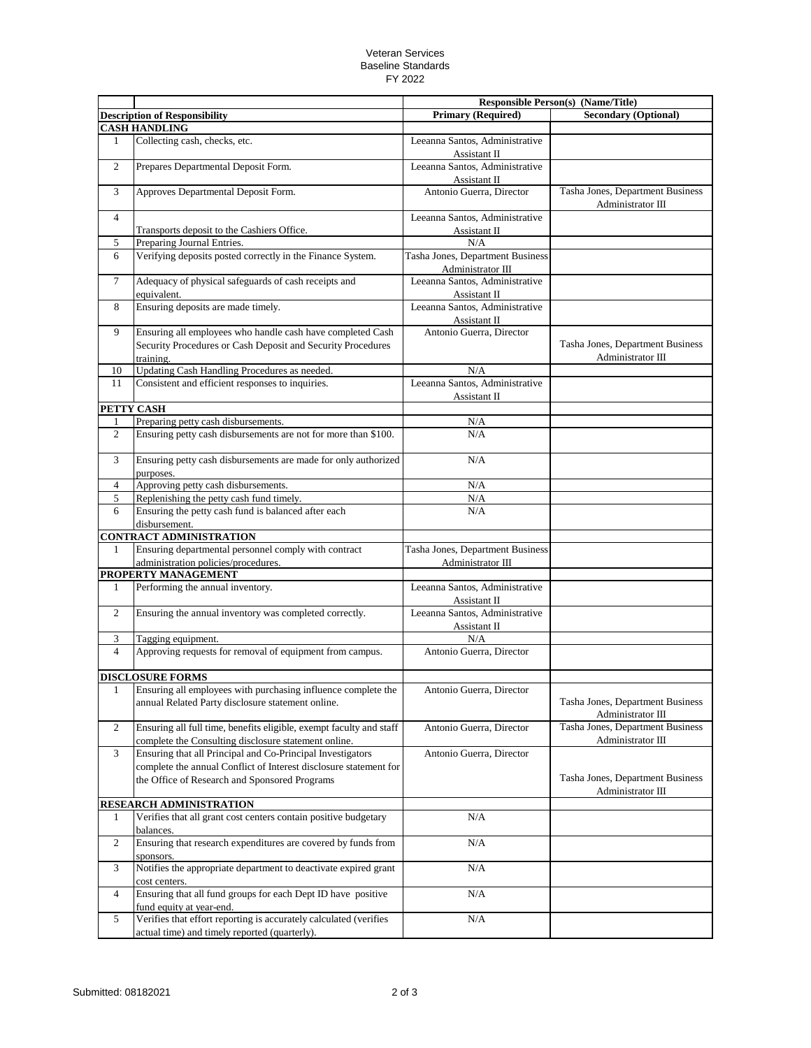## Veteran Services Baseline Standards FY 2022

|                |                                                                                                                                        | <b>Responsible Person(s) (Name/Title)</b>             |                                                       |
|----------------|----------------------------------------------------------------------------------------------------------------------------------------|-------------------------------------------------------|-------------------------------------------------------|
|                | <b>Description of Responsibility</b>                                                                                                   | <b>Primary (Required)</b>                             | <b>Secondary (Optional)</b>                           |
|                | <b>CASH HANDLING</b>                                                                                                                   |                                                       |                                                       |
| 1              | Collecting cash, checks, etc.                                                                                                          | Leeanna Santos, Administrative<br>Assistant II        |                                                       |
| $\overline{c}$ | Prepares Departmental Deposit Form.                                                                                                    | Leeanna Santos, Administrative<br>Assistant II        |                                                       |
| 3              | Approves Departmental Deposit Form.                                                                                                    | Antonio Guerra, Director                              | Tasha Jones, Department Business<br>Administrator III |
| $\overline{4}$ |                                                                                                                                        | Leeanna Santos, Administrative                        |                                                       |
|                | Transports deposit to the Cashiers Office.                                                                                             | Assistant II                                          |                                                       |
| 5              | Preparing Journal Entries.                                                                                                             | N/A                                                   |                                                       |
| 6              | Verifying deposits posted correctly in the Finance System.                                                                             | Tasha Jones, Department Business<br>Administrator III |                                                       |
| $\tau$         | Adequacy of physical safeguards of cash receipts and<br>equivalent.                                                                    | Leeanna Santos, Administrative<br>Assistant II        |                                                       |
| 8              | Ensuring deposits are made timely.                                                                                                     | Leeanna Santos, Administrative<br>Assistant II        |                                                       |
| 9              | Ensuring all employees who handle cash have completed Cash<br>Security Procedures or Cash Deposit and Security Procedures<br>training. | Antonio Guerra, Director                              | Tasha Jones, Department Business<br>Administrator III |
| 10             | Updating Cash Handling Procedures as needed.                                                                                           | N/A                                                   |                                                       |
| 11             | Consistent and efficient responses to inquiries.                                                                                       | Leeanna Santos, Administrative<br>Assistant II        |                                                       |
|                | PETTY CASH                                                                                                                             |                                                       |                                                       |
| 1              | Preparing petty cash disbursements.                                                                                                    | N/A                                                   |                                                       |
| $\overline{2}$ | Ensuring petty cash disbursements are not for more than \$100.                                                                         | N/A                                                   |                                                       |
| 3              | Ensuring petty cash disbursements are made for only authorized<br>purposes.                                                            | N/A                                                   |                                                       |
| 4              | Approving petty cash disbursements.                                                                                                    | N/A                                                   |                                                       |
| 5              | Replenishing the petty cash fund timely.                                                                                               | N/A                                                   |                                                       |
| 6              | Ensuring the petty cash fund is balanced after each<br>disbursement.                                                                   | N/A                                                   |                                                       |
|                | <b>CONTRACT ADMINISTRATION</b>                                                                                                         |                                                       |                                                       |
| 1              | Ensuring departmental personnel comply with contract<br>administration policies/procedures.                                            | Tasha Jones, Department Business<br>Administrator III |                                                       |
|                | PROPERTY MANAGEMENT                                                                                                                    |                                                       |                                                       |
| 1              | Performing the annual inventory.                                                                                                       | Leeanna Santos, Administrative<br>Assistant II        |                                                       |
| $\mathfrak{2}$ | Ensuring the annual inventory was completed correctly.                                                                                 | Leeanna Santos, Administrative<br>Assistant II        |                                                       |
| 3              | Tagging equipment.                                                                                                                     | N/A                                                   |                                                       |
| $\overline{4}$ | Approving requests for removal of equipment from campus.                                                                               | Antonio Guerra, Director                              |                                                       |
|                | <b>DISCLOSURE FORMS</b>                                                                                                                |                                                       |                                                       |
| 1              | Ensuring all employees with purchasing influence complete the<br>annual Related Party disclosure statement online.                     | Antonio Guerra, Director                              | Tasha Jones, Department Business<br>Administrator III |
| $\overline{c}$ | Ensuring all full time, benefits eligible, exempt faculty and staff<br>complete the Consulting disclosure statement online.            | Antonio Guerra, Director                              | Tasha Jones, Department Business<br>Administrator III |
| 3              | Ensuring that all Principal and Co-Principal Investigators<br>complete the annual Conflict of Interest disclosure statement for        | Antonio Guerra, Director                              |                                                       |
|                | the Office of Research and Sponsored Programs                                                                                          |                                                       | Tasha Jones, Department Business<br>Administrator III |
|                | RESEARCH ADMINISTRATION                                                                                                                |                                                       |                                                       |
| 1              | Verifies that all grant cost centers contain positive budgetary<br>balances.                                                           | $\rm N/A$                                             |                                                       |
| $\overline{c}$ | Ensuring that research expenditures are covered by funds from<br>sponsors.                                                             | N/A                                                   |                                                       |
| 3              | Notifies the appropriate department to deactivate expired grant<br>cost centers.                                                       | N/A                                                   |                                                       |
| 4              | Ensuring that all fund groups for each Dept ID have positive<br>fund equity at year-end.                                               | N/A                                                   |                                                       |
| 5              | Verifies that effort reporting is accurately calculated (verifies<br>actual time) and timely reported (quarterly).                     | $\rm N/A$                                             |                                                       |